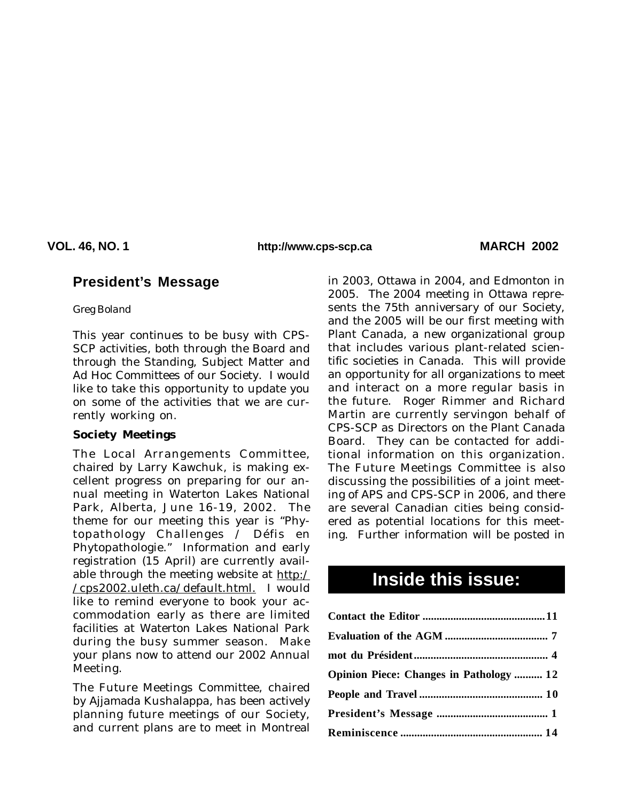**VOL. 46, NO. 1 MARCH 2002 http://www.cps-scp.ca**

## **President's Message**

*Greg Boland*

This year continues to be busy with CPS-SCP activities, both through the Board and through the Standing, Subject Matter and Ad Hoc Committees of our Society. I would like to take this opportunity to update you on some of the activities that we are currently working on.

#### **Society Meetings**

The Local Arrangements Committee, chaired by Larry Kawchuk, is making excellent progress on preparing for our annual meeting in Waterton Lakes National Park, Alberta, June 16-19, 2002. The theme for our meeting this year is "Phytopathology Challenges / Défis en Phytopathologie." Information and early registration (15 April) are currently available through the meeting website at http:/ /cps2002.uleth.ca/default.html. I would like to remind everyone to book your accommodation early as there are limited facilities at Waterton Lakes National Park during the busy summer season. Make your plans now to attend our 2002 Annual Meeting.

The Future Meetings Committee, chaired by Ajjamada Kushalappa, has been actively planning future meetings of our Society, and current plans are to meet in Montreal

ing. Further information will be posted in in 2003, Ottawa in 2004, and Edmonton in 2005. The 2004 meeting in Ottawa represents the 75th anniversary of our Society, and the 2005 will be our first meeting with Plant Canada, a new organizational group that includes various plant-related scientific societies in Canada. This will provide an opportunity for all organizations to meet and interact on a more regular basis in the future. Roger Rimmer and Richard Martin are currently servingon behalf of CPS-SCP as Directors on the Plant Canada Board. They can be contacted for additional information on this organization. The Future Meetings Committee is also discussing the possibilities of a joint meeting of APS and CPS-SCP in 2006, and there are several Canadian cities being considered as potential locations for this meet-

# **Inside this issue:**

| <b>Opinion Piece: Changes in Pathology  12</b> |  |
|------------------------------------------------|--|
|                                                |  |
|                                                |  |
|                                                |  |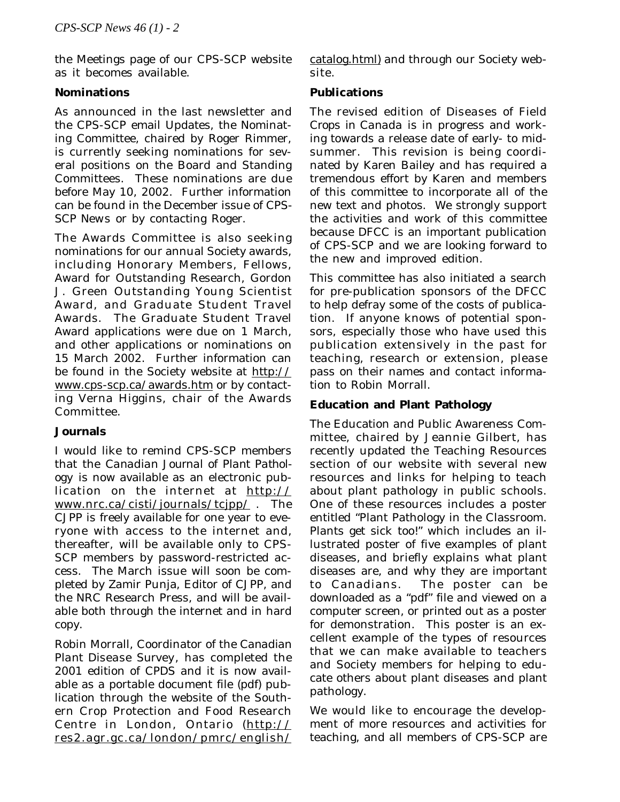the Meetings page of our CPS-SCP website as it becomes available.

## **Nominations**

As announced in the last newsletter and the CPS-SCP email Updates, the Nominating Committee, chaired by Roger Rimmer, is currently seeking nominations for several positions on the Board and Standing Committees. These nominations are due before May 10, 2002. Further information can be found in the December issue of *CPS-SCP News* or by contacting Roger.

The Awards Committee is also seeking nominations for our annual Society awards, including Honorary Members, Fellows, Award for Outstanding Research, Gordon J. Green Outstanding Young Scientist Award, and Graduate Student Travel Awards. The Graduate Student Travel Award applications were due on 1 March, and other applications or nominations on 15 March 2002. Further information can be found in the Society website at http:// www.cps-scp.ca/awards.htm or by contacting Verna Higgins, chair of the Awards Committee.

## **Journals**

I would like to remind CPS-SCP members that the *Canadian Journal of Plant Pathology* is now available as an electronic publication on the internet at http:// www.nrc.ca/cisti/journals/tcjpp/ . The *CJPP* is freely available for one year to everyone with access to the internet and, thereafter, will be available only to CPS-SCP members by password-restricted access. The March issue will soon be completed by Zamir Punja, Editor of *CJPP*, and the NRC Research Press, and will be available both through the internet and in hard copy.

Robin Morrall, Coordinator of the *Canadian Plant Disease Survey*, has completed the 2001 edition of *CPDS* and it is now available as a portable document file (pdf) publication through the website of the Southern Crop Protection and Food Research Centre in London, Ontario (http:// res2.agr.gc.ca/london/pmrc/english/ catalog.html) and through our Society website.

## **Publications**

The revised edition of *Diseases of Field Crops in Canada* is in progress and working towards a release date of early- to midsummer. This revision is being coordinated by Karen Bailey and has required a tremendous effort by Karen and members of this committee to incorporate all of the new text and photos. We strongly support the activities and work of this committee because *DFCC* is an important publication of CPS-SCP and we are looking forward to the new and improved edition.

This committee has also initiated a search for pre-publication sponsors of the *DFCC* to help defray some of the costs of publication. If anyone knows of potential sponsors, especially those who have used this publication extensively in the past for teaching, research or extension, please pass on their names and contact information to Robin Morrall.

## **Education and Plant Pathology**

The Education and Public Awareness Committee, chaired by Jeannie Gilbert, has recently updated the Teaching Resources section of our website with several new resources and links for helping to teach about plant pathology in public schools. One of these resources includes a poster entitled "Plant Pathology in the Classroom. Plants get sick too!" which includes an illustrated poster of five examples of plant diseases, and briefly explains what plant diseases are, and why they are important to Canadians. The poster can be downloaded as a "pdf" file and viewed on a computer screen, or printed out as a poster for demonstration. This poster is an excellent example of the types of resources that we can make available to teachers and Society members for helping to educate others about plant diseases and plant pathology.

We would like to encourage the development of more resources and activities for teaching, and all members of CPS-SCP are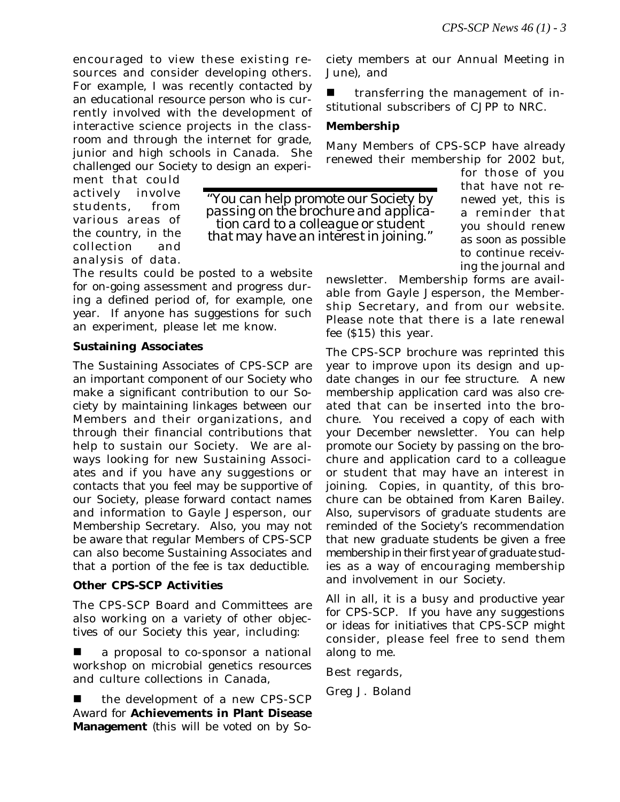encouraged to view these existing resources and consider developing others. For example, I was recently contacted by an educational resource person who is currently involved with the development of interactive science projects in the classroom and through the internet for grade, junior and high schools in Canada. She challenged our Society to design an experi-

ment that could actively involve students, from various areas of the country, in the collection and analysis of data.

The results could be posted to a website for on-going assessment and progress during a defined period of, for example, one year. If anyone has suggestions for such an experiment, please let me know.

## **Sustaining Associates**

The Sustaining Associates of CPS-SCP are an important component of our Society who make a significant contribution to our Society by maintaining linkages between our Members and their organizations, and through their financial contributions that help to sustain our Society. We are always looking for new Sustaining Associates and if you have any suggestions or contacts that you feel may be supportive of our Society, please forward contact names and information to Gayle Jesperson, our Membership Secretary. Also, you may not be aware that regular Members of CPS-SCP can also become Sustaining Associates and that a portion of the fee is tax deductible.

## **Other CPS-SCP Activities**

The CPS-SCP Board and Committees are also working on a variety of other objectives of our Society this year, including:

a proposal to co-sponsor a national workshop on microbial genetics resources and culture collections in Canada,

the development of a new CPS-SCP Award for **Achievements in Plant Disease Management** (this will be voted on by Society members at our Annual Meeting in June), and

transferring the management of institutional subscribers of *CJPP* to NRC.

## **Membership**

Many Members of CPS-SCP have already renewed their membership for 2002 but,

*"You can help promote our Society by passing on the brochure and application card to a colleague or student that may have an interest in joining."*

for those of you that have not renewed yet, this is a reminder that you should renew as soon as possible to continue receiving the journal and

newsletter. Membership forms are available from Gayle Jesperson, the Membership Secretary, and from our website. Please note that there is a late renewal fee (\$15) this year.

The CPS-SCP brochure was reprinted this year to improve upon its design and update changes in our fee structure. A new membership application card was also created that can be inserted into the brochure. You received a copy of each with your December newsletter. You can help promote our Society by passing on the brochure and application card to a colleague or student that may have an interest in joining. Copies, in quantity, of this brochure can be obtained from Karen Bailey. Also, supervisors of graduate students are reminded of the Society's recommendation that *new graduate students be given a free membership in their first year of graduate studies* as a way of encouraging membership and involvement in our Society.

All in all, it is a busy and productive year for CPS-SCP. If you have any suggestions or ideas for initiatives that CPS-SCP might consider, please feel free to send them along to me.

Best regards,

Greg J. Boland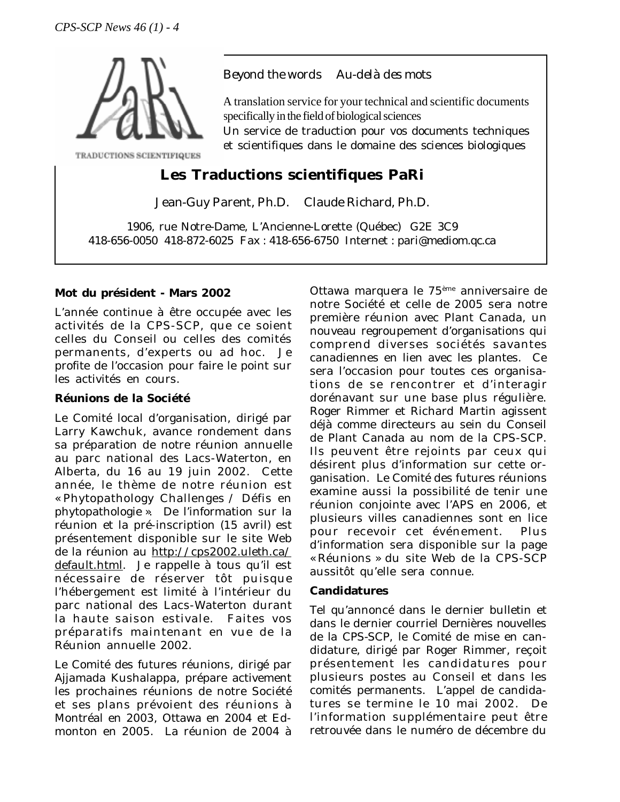

TRADUCTIONS SCIENTIFIQUES

## *Beyond the words Au-delà des mots*

A translation service for your technical and scientific documents specifically in the field of biological sciences

Un service de traduction pour vos documents techniques et scientifiques dans le domaine des sciences biologiques

# **Les Traductions scientifiques PaRi**

Jean-Guy Parent, Ph.D. Claude Richard, Ph.D.

1906, rue Notre-Dame, L'Ancienne-Lorette (Québec) G2E 3C9 418-656-0050 418-872-6025 Fax : 418-656-6750 Internet : pari@mediom.qc.ca

### **Mot du président - Mars 2002**

L'année continue à être occupée avec les activités de la CPS-SCP, que ce soient celles du Conseil ou celles des comités permanents, d'experts ou ad hoc. Je profite de l'occasion pour faire le point sur les activités en cours.

### **Réunions de la Société**

Le Comité local d'organisation, dirigé par Larry Kawchuk, avance rondement dans sa préparation de notre réunion annuelle au parc national des Lacs-Waterton, en Alberta, du 16 au 19 juin 2002. Cette année, le thème de notre réunion est « Phytopathology Challenges / Défis en phytopathologie ». De l'information sur la réunion et la pré-inscription (15 avril) est présentement disponible sur le site Web de la réunion au http://cps2002.uleth.ca/ default.html. Je rappelle à tous qu'il est nécessaire de réserver tôt puisque l'hébergement est limité à l'intérieur du parc national des Lacs-Waterton durant la haute saison estivale. Faites vos préparatifs maintenant en vue de la Réunion annuelle 2002.

Le Comité des futures réunions, dirigé par Ajjamada Kushalappa, prépare activement les prochaines réunions de notre Société et ses plans prévoient des réunions à Montréal en 2003, Ottawa en 2004 et Edmonton en 2005. La réunion de 2004 à Ottawa marquera le 75ème anniversaire de notre Société et celle de 2005 sera notre première réunion avec Plant Canada, un nouveau regroupement d'organisations qui comprend diverses sociétés savantes canadiennes en lien avec les plantes. Ce sera l'occasion pour toutes ces organisations de se rencontrer et d'interagir dorénavant sur une base plus régulière. Roger Rimmer et Richard Martin agissent déjà comme directeurs au sein du Conseil de Plant Canada au nom de la CPS-SCP. Ils peuvent être rejoints par ceux qui désirent plus d'information sur cette organisation. Le Comité des futures réunions examine aussi la possibilité de tenir une réunion conjointe avec l'APS en 2006, et plusieurs villes canadiennes sont en lice pour recevoir cet événement. Plus d'information sera disponible sur la page « Réunions » du site Web de la CPS-SCP aussitôt qu'elle sera connue.

### **Candidatures**

Tel qu'annoncé dans le dernier bulletin et dans le dernier courriel *Dernières nouvelles de la CPS-SCP*, le Comité de mise en candidature, dirigé par Roger Rimmer, reçoit présentement les candidatures pour plusieurs postes au Conseil et dans les comités permanents. L'appel de candidatures se termine le 10 mai 2002. De l'information supplémentaire peut être retrouvée dans le numéro de décembre du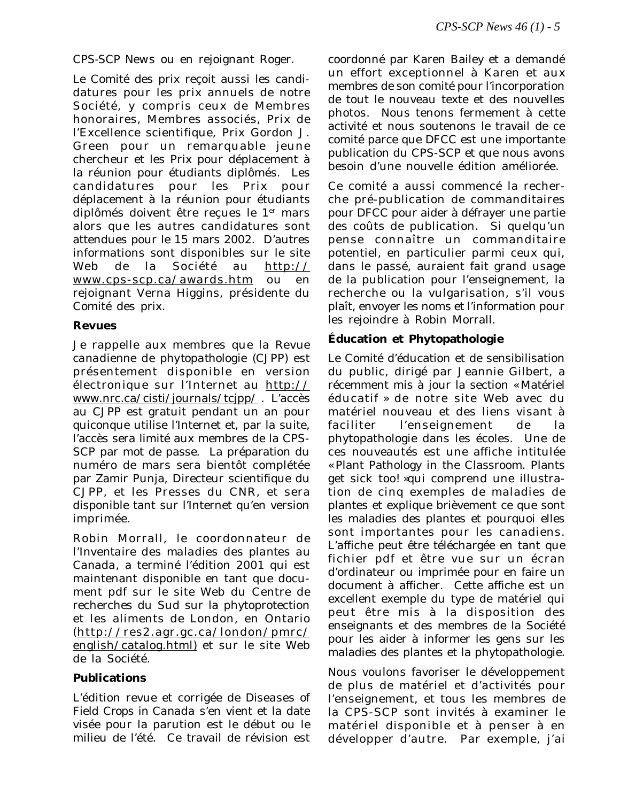*CPS-SCP News* ou en rejoignant Roger.

Le Comité des prix reçoit aussi les candidatures pour les prix annuels de notre Société, y compris ceux de Membres honoraires, Membres associés, Prix de l'Excellence scientifique, Prix Gordon J. Green pour un remarquable jeune chercheur et les Prix pour déplacement à la réunion pour étudiants diplômés. Les candidatures pour les Prix pour déplacement à la réunion pour étudiants diplômés doivent être reçues le 1er mars alors que les autres candidatures sont attendues pour le 15 mars 2002. D'autres informations sont disponibles sur le site Web de la Société au http:// www.cps-scp.ca/awards.htm ou en rejoignant Verna Higgins, présidente du Comité des prix.

## **Revues**

Je rappelle aux membres que la *Revue canadienne de phytopathologie* (*CJPP*) est présentement disponible en version électronique sur l'Internet au http:// www.nrc.ca/cisti/journals/tcjpp/ . L'accès au *CJPP* est gratuit pendant un an pour quiconque utilise l'Internet et, par la suite, l'accès sera limité aux membres de la CPS-SCP par mot de passe. La préparation du numéro de mars sera bientôt complétée par Zamir Punja, Directeur scientifique du *CJPP*, et les Presses du CNR, et sera disponible tant sur l'Internet qu'en version imprimée.

Robin Morrall, le coordonnateur de l'*Inventaire des maladies des plantes au Canada*, a terminé l'édition 2001 qui est maintenant disponible en tant que document pdf sur le site Web du Centre de recherches du Sud sur la phytoprotection et les aliments de London, en Ontario (http://res2.agr.gc.ca/london/pmrc/ english/catalog.html) et sur le site Web de la Société.

### **Publications**

L'édition revue et corrigée de *Diseases of Field Crops in Canada* s'en vient et la date visée pour la parution est le début ou le milieu de l'été. Ce travail de révision est

coordonné par Karen Bailey et a demandé un effort exceptionnel à Karen et aux membres de son comité pour l'incorporation de tout le nouveau texte et des nouvelles photos. Nous tenons fermement à cette activité et nous soutenons le travail de ce comité parce que *DFCC* est une importante publication du CPS-SCP et que nous avons besoin d'une nouvelle édition améliorée.

Ce comité a aussi commencé la recherche pré-publication de commanditaires pour *DFCC* pour aider à défrayer une partie des coûts de publication. Si quelqu'un pense connaître un commanditaire potentiel, en particulier parmi ceux qui, dans le passé, auraient fait grand usage de la publication pour l'enseignement, la recherche ou la vulgarisation, s'il vous plaît, envoyer les noms et l'information pour les rejoindre à Robin Morrall.

## **Éducation et Phytopathologie**

Le Comité d'éducation et de sensibilisation du public, dirigé par Jeannie Gilbert, a récemment mis à jour la section « Matériel éducatif » de notre site Web avec du matériel nouveau et des liens visant à faciliter l'enseignement de la phytopathologie dans les écoles. Une de ces nouveautés est une affiche intitulée « Plant Pathology in the Classroom. Plants get sick too! »qui comprend une illustration de cinq exemples de maladies de plantes et explique brièvement ce que sont les maladies des plantes et pourquoi elles sont importantes pour les canadiens. L'affiche peut être téléchargée en tant que fichier pdf et être vue sur un écran d'ordinateur ou imprimée pour en faire un document à afficher. Cette affiche est un excellent exemple du type de matériel qui peut être mis à la disposition des enseignants et des membres de la Société pour les aider à informer les gens sur les maladies des plantes et la phytopathologie.

Nous voulons favoriser le développement de plus de matériel et d'activités pour l'enseignement, et tous les membres de la CPS-SCP sont invités à examiner le matériel disponible et à penser à en développer d'autre. Par exemple, j'ai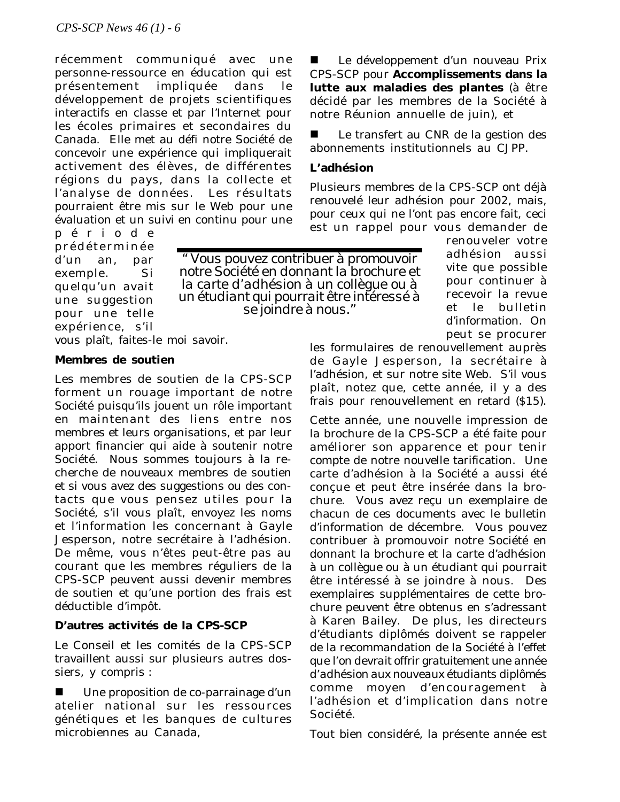récemment communiqué avec une personne-ressource en éducation qui est présentement impliquée dans le développement de projets scientifiques interactifs en classe et par l'Internet pour les écoles primaires et secondaires du Canada. Elle met au défi notre Société de concevoir une expérience qui impliquerait activement des élèves, de différentes régions du pays, dans la collecte et l'analyse de données. Les résultats pourraient être mis sur le Web pour une évaluation et un suivi en continu pour une

période prédéterminée d'un an, par exemple. Si quelqu'un avait une suggestion pour une telle expérience, s'il vous plaît, faites-le moi savoir.

*" Vous pouvez contribuer à promouvoir notre Société en donnant la brochure et la carte d'adhésion à un collègue ou à un étudiant qui pourrait être intéressé à se joindre à nous."*

**Membres de soutien**

Les membres de soutien de la CPS-SCP forment un rouage important de notre Société puisqu'ils jouent un rôle important en maintenant des liens entre nos membres et leurs organisations, et par leur apport financier qui aide à soutenir notre Société. Nous sommes toujours à la recherche de nouveaux membres de soutien et si vous avez des suggestions ou des contacts que vous pensez utiles pour la Société, s'il vous plaît, envoyez les noms et l'information les concernant à Gayle Jesperson, notre secrétaire à l'adhésion. De même, vous n'êtes peut-être pas au courant que les membres réguliers de la CPS-SCP peuvent aussi devenir membres de soutien et qu'une portion des frais est déductible d'impôt.

## **D'autres activités de la CPS-SCP**

Le Conseil et les comités de la CPS-SCP travaillent aussi sur plusieurs autres dossiers, y compris :

Une proposition de co-parrainage d'un atelier national sur les ressources génétiques et les banques de cultures microbiennes au Canada,

Le développement d'un nouveau Prix CPS-SCP pour **Accomplissements dans la lutte aux maladies des plantes** (à être décidé par les membres de la Société à notre Réunion annuelle de juin), et

Le transfert au CNR de la gestion des abonnements institutionnels au *CJPP*.

#### **L'adhésion**

Plusieurs membres de la CPS-SCP ont déjà renouvelé leur adhésion pour 2002, mais, pour ceux qui ne l'ont pas encore fait, ceci est un rappel pour vous demander de

> renouveler votre adhésion aussi vite que possible pour continuer à recevoir la revue et le bulletin d'information. On peut se procurer

les formulaires de renouvellement auprès de Gayle Jesperson, la secrétaire à l'adhésion, et sur notre site Web. S'il vous plaît, notez que, cette année, il y a des frais pour renouvellement en retard (\$15).

Cette année, une nouvelle impression de la brochure de la CPS-SCP a été faite pour améliorer son apparence et pour tenir compte de notre nouvelle tarification. Une carte d'adhésion à la Société a aussi été conçue et peut être insérée dans la brochure. Vous avez reçu un exemplaire de chacun de ces documents avec le bulletin d'information de décembre. Vous pouvez contribuer à promouvoir notre Société en donnant la brochure et la carte d'adhésion à un collègue ou à un étudiant qui pourrait être intéressé à se joindre à nous. Des exemplaires supplémentaires de cette brochure peuvent être obtenus en s'adressant à Karen Bailey. De plus, les directeurs d'étudiants diplômés doivent se rappeler de la recommandation de la Société à l'effet que *l'on devrait offrir gratuitement une année d'adhésion aux nouveaux étudiants diplômés* comme moyen d'encouragement à l'adhésion et d'implication dans notre Société.

Tout bien considéré, la présente année est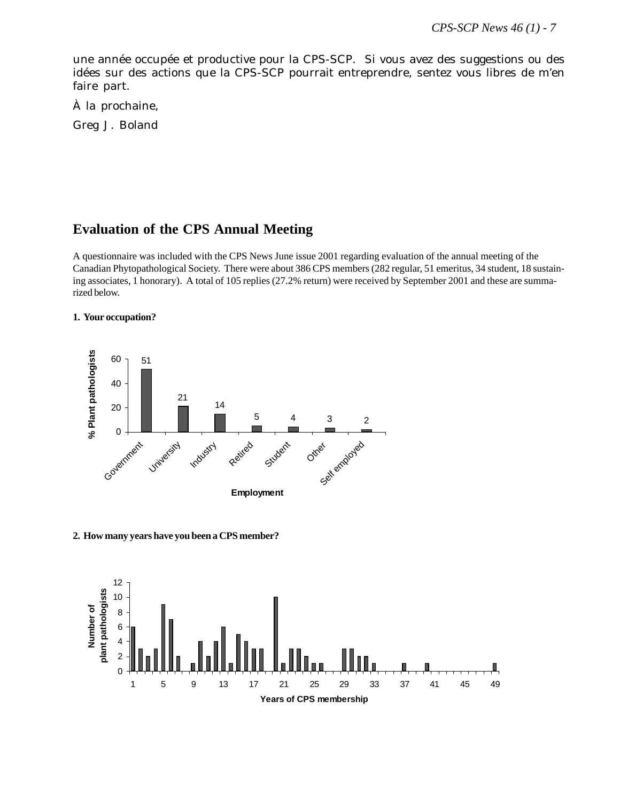une année occupée et productive pour la CPS-SCP. Si vous avez des suggestions ou des idées sur des actions que la CPS-SCP pourrait entreprendre, sentez vous libres de m'en faire part.

À la prochaine,

Greg J. Boland

## **Evaluation of the CPS Annual Meeting**

A questionnaire was included with the CPS News June issue 2001 regarding evaluation of the annual meeting of the Canadian Phytopathological Society. There were about 386 CPS members (282 regular, 51 emeritus, 34 student, 18 sustaining associates, 1 honorary). A total of 105 replies (27.2% return) were received by September 2001 and these are summarized below.

#### **1. Your occupation?**



**2. How many years have you been a CPS member?**

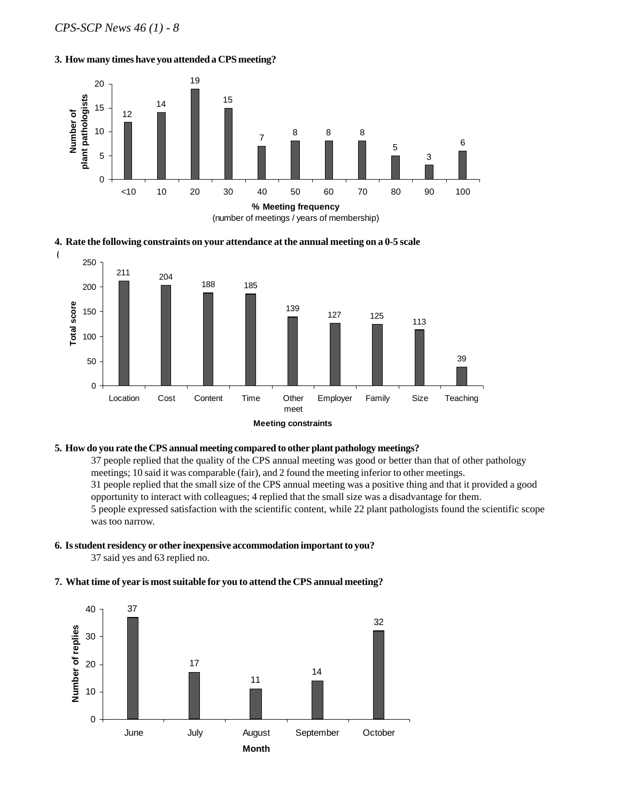#### **3. How many times have you attended a CPS meeting?**







#### **5. How do you rate the CPS annual meeting compared to other plant pathology meetings?**

37 people replied that the quality of the CPS annual meeting was good or better than that of other pathology meetings; 10 said it was comparable (fair), and 2 found the meeting inferior to other meetings. 31 people replied that the small size of the CPS annual meeting was a positive thing and that it provided a good opportunity to interact with colleagues; 4 replied that the small size was a disadvantage for them. 5 people expressed satisfaction with the scientific content, while 22 plant pathologists found the scientific scope was too narrow.

## **6. Is student residency or other inexpensive accommodation important to you?**

37 said yes and 63 replied no.

#### **7. What time of year is most suitable for you to attend the CPS annual meeting?**

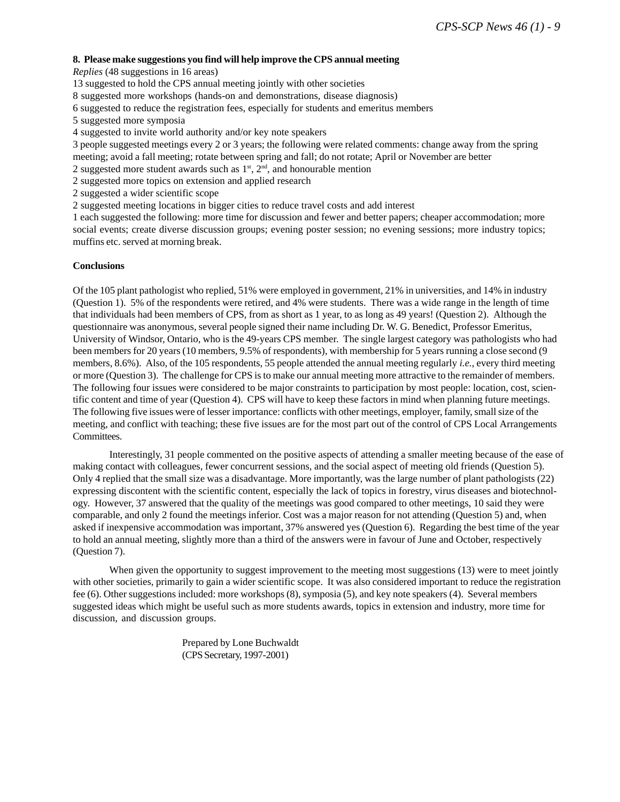#### **8. Please make suggestions you find will help improve the CPS annual meeting**

*Replies* (48 suggestions in 16 areas)

13 suggested to hold the CPS annual meeting jointly with other societies

8 suggested more workshops (hands-on and demonstrations, disease diagnosis)

6 suggested to reduce the registration fees, especially for students and emeritus members

5 suggested more symposia

4 suggested to invite world authority and/or key note speakers

3 people suggested meetings every 2 or 3 years; the following were related comments: change away from the spring meeting; avoid a fall meeting; rotate between spring and fall; do not rotate; April or November are better

2 suggested more student awards such as  $1<sup>st</sup>$ ,  $2<sup>nd</sup>$ , and honourable mention

2 suggested more topics on extension and applied research

2 suggested a wider scientific scope

2 suggested meeting locations in bigger cities to reduce travel costs and add interest

1 each suggested the following: more time for discussion and fewer and better papers; cheaper accommodation; more social events; create diverse discussion groups; evening poster session; no evening sessions; more industry topics; muffins etc. served at morning break.

#### **Conclusions**

Of the 105 plant pathologist who replied, 51% were employed in government, 21% in universities, and 14% in industry (Question 1). 5% of the respondents were retired, and 4% were students. There was a wide range in the length of time that individuals had been members of CPS, from as short as 1 year, to as long as 49 years! (Question 2). Although the questionnaire was anonymous, several people signed their name including Dr. W. G. Benedict, Professor Emeritus, University of Windsor, Ontario, who is the 49-years CPS member. The single largest category was pathologists who had been members for 20 years (10 members, 9.5% of respondents), with membership for 5 years running a close second (9 members, 8.6%). Also, of the 105 respondents, 55 people attended the annual meeting regularly *i.e.*, every third meeting or more (Question 3). The challenge for CPS is to make our annual meeting more attractive to the remainder of members. The following four issues were considered to be major constraints to participation by most people: location, cost, scientific content and time of year (Question 4). CPS will have to keep these factors in mind when planning future meetings. The following five issues were of lesser importance: conflicts with other meetings, employer, family, small size of the meeting, and conflict with teaching; these five issues are for the most part out of the control of CPS Local Arrangements Committees.

Interestingly, 31 people commented on the positive aspects of attending a smaller meeting because of the ease of making contact with colleagues, fewer concurrent sessions, and the social aspect of meeting old friends (Question 5). Only 4 replied that the small size was a disadvantage. More importantly, was the large number of plant pathologists (22) expressing discontent with the scientific content, especially the lack of topics in forestry, virus diseases and biotechnology. However, 37 answered that the quality of the meetings was good compared to other meetings, 10 said they were comparable, and only 2 found the meetings inferior. Cost was a major reason for not attending (Question 5) and, when asked if inexpensive accommodation was important, 37% answered yes (Question 6). Regarding the best time of the year to hold an annual meeting, slightly more than a third of the answers were in favour of June and October, respectively (Question 7).

When given the opportunity to suggest improvement to the meeting most suggestions (13) were to meet jointly with other societies, primarily to gain a wider scientific scope. It was also considered important to reduce the registration fee (6). Other suggestions included: more workshops (8), symposia (5), and key note speakers (4). Several members suggested ideas which might be useful such as more students awards, topics in extension and industry, more time for discussion, and discussion groups.

> Prepared by Lone Buchwaldt (CPS Secretary, 1997-2001)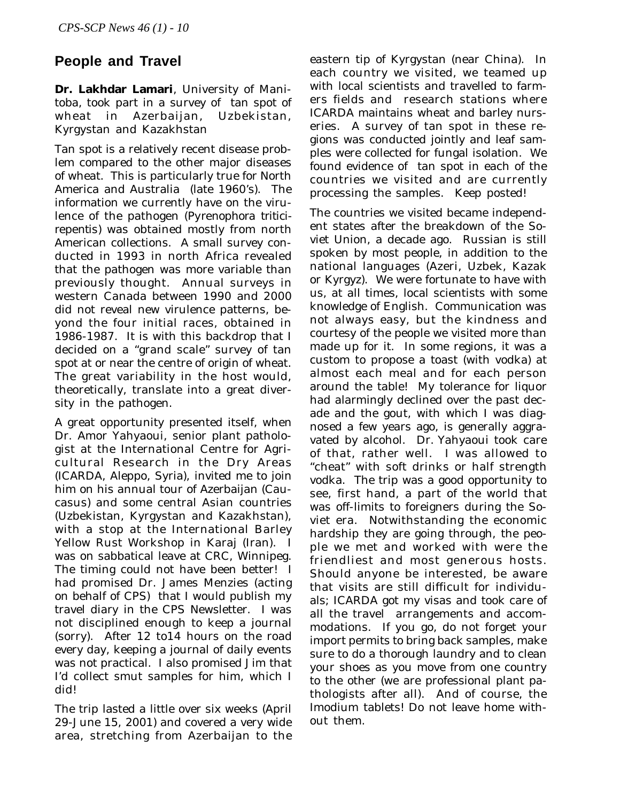# **People and Travel**

**Dr. Lakhdar Lamari**, University of Manitoba, took part in a survey of tan spot of wheat in Azerbaijan, Uzbekistan, Kyrgystan and Kazakhstan

Tan spot is a relatively recent disease problem compared to the other major diseases of wheat. This is particularly true for North America and Australia (late 1960's). The information we currently have on the virulence of the pathogen (*Pyrenophora triticirepentis*) was obtained mostly from north American collections. A small survey conducted in 1993 in north Africa revealed that the pathogen was more variable than previously thought. Annual surveys in western Canada between 1990 and 2000 did not reveal new virulence patterns, beyond the four initial races, obtained in 1986-1987. It is with this backdrop that I decided on a "grand scale" survey of tan spot at or near the centre of origin of wheat. The great variability in the host would, theoretically, translate into a great diversity in the pathogen.

A great opportunity presented itself, when Dr. Amor Yahyaoui, senior plant pathologist at the International Centre for Agricultural Research in the Dry Areas (ICARDA, Aleppo, Syria), invited me to join him on his annual tour of Azerbaijan (Caucasus) and some central Asian countries (Uzbekistan, Kyrgystan and Kazakhstan), with a stop at the International Barley Yellow Rust Workshop in Karaj (Iran). I was on sabbatical leave at CRC, Winnipeg. The timing could not have been better! I had promised Dr. James Menzies (acting on behalf of CPS) that I would publish my travel diary in the CPS Newsletter. I was not disciplined enough to keep a journal (sorry). After 12 to14 hours on the road every day, keeping a journal of daily events was not practical. I also promised Jim that I'd collect smut samples for him, which I did!

The trip lasted a little over six weeks (April 29-June 15, 2001) and covered a very wide area, stretching from Azerbaijan to the eastern tip of Kyrgystan (near China). In each country we visited, we teamed up with local scientists and travelled to farmers fields and research stations where ICARDA maintains wheat and barley nurseries. A survey of tan spot in these regions was conducted jointly and leaf samples were collected for fungal isolation. We found evidence of tan spot in each of the countries we visited and are currently processing the samples. Keep posted!

The countries we visited became independent states after the breakdown of the Soviet Union, a decade ago. Russian is still spoken by most people, in addition to the national languages (Azeri, Uzbek, Kazak or Kyrgyz). We were fortunate to have with us, at all times, local scientists with some knowledge of English. Communication was not always easy, but the kindness and courtesy of the people we visited more than made up for it. In some regions, it was a custom to propose a toast (with vodka) at almost each meal and for each person around the table! My tolerance for liquor had alarmingly declined over the past decade and the gout, with which I was diagnosed a few years ago, is generally aggravated by alcohol. Dr. Yahyaoui took care of that, rather well. I was allowed to "cheat" with soft drinks or half strength vodka. The trip was a good opportunity to see, first hand, a part of the world that was off-limits to foreigners during the Soviet era. Notwithstanding the economic hardship they are going through, the people we met and worked with were the friendliest and most generous hosts. Should anyone be interested, be aware that visits are still difficult for individuals; ICARDA got my visas and took care of all the travel arrangements and accommodations. If you go, do not forget your import permits to bring back samples, make sure to do a thorough laundry and to clean your shoes as you move from one country to the other (we are professional plant pathologists after all). And of course, the Imodium tablets! Do not leave home without them.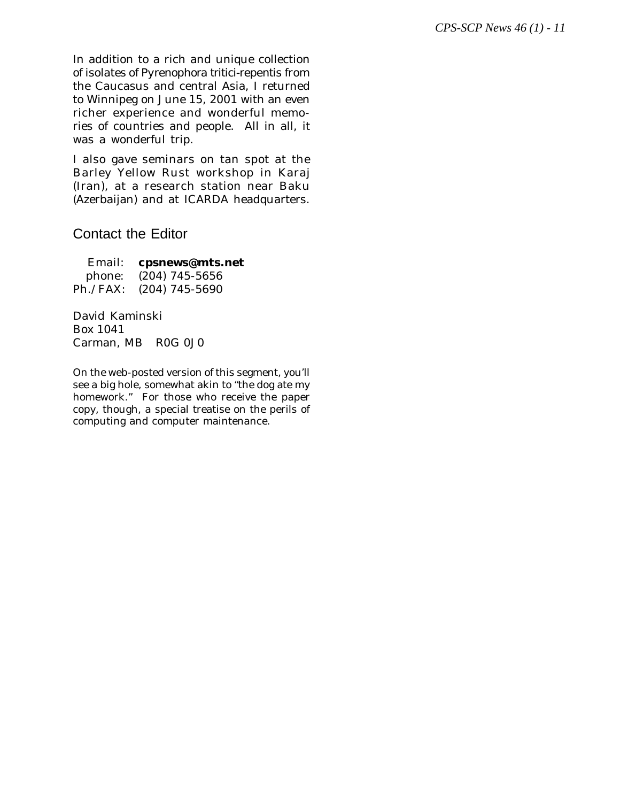In addition to a rich and unique collection of isolates of *Pyrenophora tritici-repentis* from the Caucasus and central Asia, I returned to Winnipeg on June 15, 2001 with an even richer experience and wonderful memories of countries and people. All in all, it was a wonderful trip.

I also gave seminars on tan spot at the Barley Yellow Rust workshop in Karaj (Iran), at a research station near Baku (Azerbaijan) and at ICARDA headquarters.

# Contact the Editor

Email: **cpsnews@mts.net** phone: (204) 745-5656 Ph./FAX: (204) 745-5690

David Kaminski Box 1041 Carman, MB R0G 0J0

On the web-posted version of this segment, you'll see a big hole, somewhat akin to "the dog ate my homework." For those who receive the paper copy, though, a special treatise on the perils of computing and computer maintenance.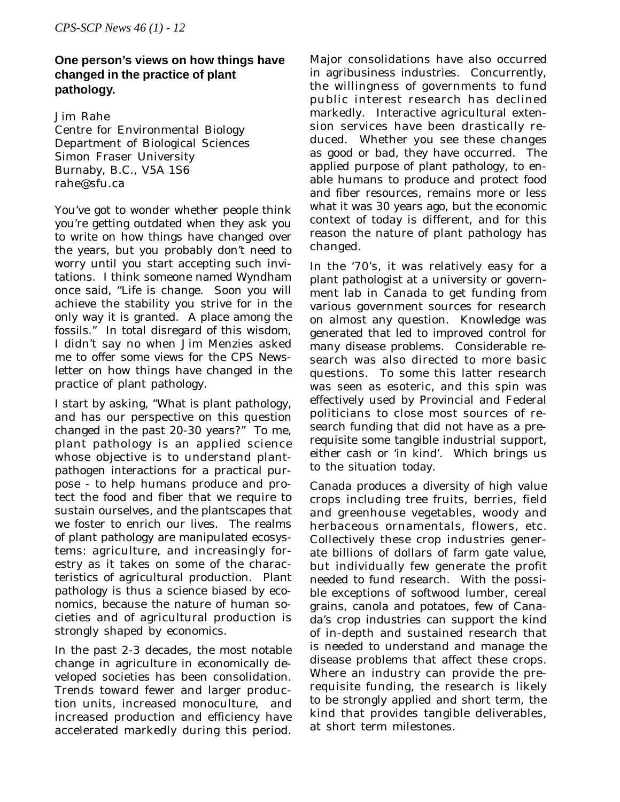## **One person's views on how things have changed in the practice of plant pathology.**

Jim Rahe Centre for Environmental Biology Department of Biological Sciences Simon Fraser University Burnaby, B.C., V5A 1S6 rahe@sfu.ca

You've got to wonder whether people think you're getting outdated when they ask you to write on how things have changed over the years, but you probably don't need to worry until you start accepting such invitations. I think someone named Wyndham once said, "Life is change. Soon you will achieve the stability you strive for in the only way it is granted. A place among the fossils." In total disregard of this wisdom, I didn't say no when Jim Menzies asked me to offer some views for the CPS Newsletter on how things have changed in the practice of plant pathology.

I start by asking, "What is plant pathology, and has our perspective on this question changed in the past 20-30 years?" To me, plant pathology is an applied science whose objective is to understand plantpathogen interactions for a practical purpose - to help humans produce and protect the food and fiber that we require to sustain ourselves, and the plantscapes that we foster to enrich our lives. The realms of plant pathology are manipulated ecosystems: agriculture, and increasingly forestry as it takes on some of the characteristics of agricultural production. Plant pathology is thus a science biased by economics, because the nature of human societies and of agricultural production is strongly shaped by economics.

In the past 2-3 decades, the most notable change in agriculture in economically developed societies has been consolidation. Trends toward fewer and larger production units, increased monoculture, and increased production and efficiency have accelerated markedly during this period.

Major consolidations have also occurred in agribusiness industries. Concurrently, the willingness of governments to fund public interest research has declined markedly. Interactive agricultural extension services have been drastically reduced. Whether you see these changes as good or bad, they have occurred. The applied purpose of plant pathology, to enable humans to produce and protect food and fiber resources, remains more or less what it was 30 years ago, but the economic context of today is different, and for this reason the nature of plant pathology has changed.

In the '70's, it was relatively easy for a plant pathologist at a university or government lab in Canada to get funding from various government sources for research on almost any question. Knowledge was generated that led to improved control for many disease problems. Considerable research was also directed to more basic questions. To some this latter research was seen as esoteric, and this spin was effectively used by Provincial and Federal politicians to close most sources of research funding that did not have as a prerequisite some tangible industrial support, either cash or 'in kind'. Which brings us to the situation today.

Canada produces a diversity of high value crops including tree fruits, berries, field and greenhouse vegetables, woody and herbaceous ornamentals, flowers, etc. Collectively these crop industries generate billions of dollars of farm gate value, but individually few generate the profit needed to fund research. With the possible exceptions of softwood lumber, cereal grains, canola and potatoes, few of Canada's crop industries can support the kind of in-depth and sustained research that is needed to understand and manage the disease problems that affect these crops. Where an industry can provide the prerequisite funding, the research is likely to be strongly applied and short term, the kind that provides tangible deliverables, at short term milestones.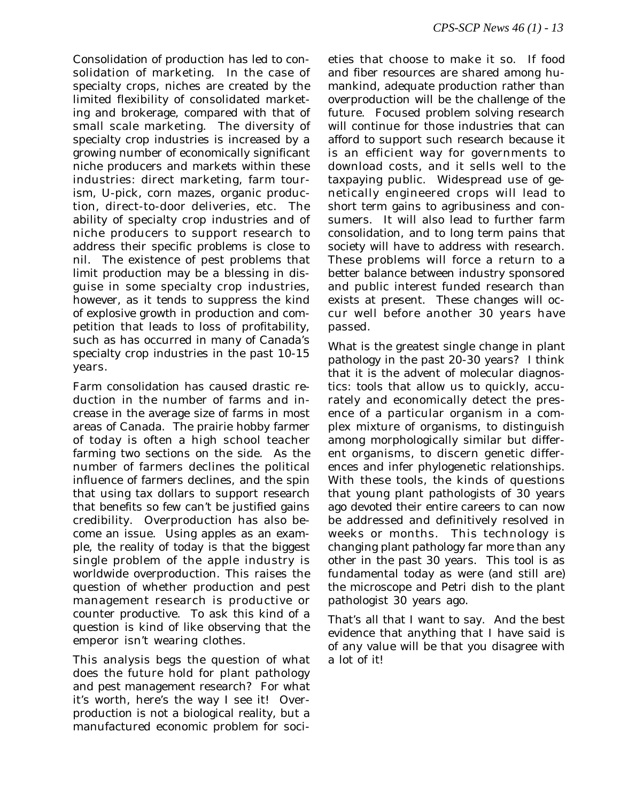Consolidation of production has led to consolidation of marketing. In the case of specialty crops, niches are created by the limited flexibility of consolidated marketing and brokerage, compared with that of small scale marketing. The diversity of specialty crop industries is increased by a growing number of economically significant niche producers and markets within these industries: direct marketing, farm tourism, U-pick, corn mazes, organic production, direct-to-door deliveries, etc. The ability of specialty crop industries and of niche producers to support research to address their specific problems is close to nil. The existence of pest problems that limit production may be a blessing in disguise in some specialty crop industries, however, as it tends to suppress the kind of explosive growth in production and competition that leads to loss of profitability, such as has occurred in many of Canada's specialty crop industries in the past 10-15 years.

Farm consolidation has caused drastic reduction in the number of farms and increase in the average size of farms in most areas of Canada. The prairie hobby farmer of today is often a high school teacher farming two sections on the side. As the number of farmers declines the political influence of farmers declines, and the spin that using tax dollars to support research that benefits so few can't be justified gains credibility. Overproduction has also become an issue. Using apples as an example, the reality of today is that the biggest single problem of the apple industry is worldwide overproduction. This raises the question of whether production and pest management research is productive or counter productive. To ask this kind of a question is kind of like observing that the emperor isn't wearing clothes.

This analysis begs the question of what does the future hold for plant pathology and pest management research? For what it's worth, here's the way I see it! Overproduction is not a biological reality, but a manufactured economic problem for soci-

eties that choose to make it so. If food and fiber resources are shared among humankind, adequate production rather than overproduction will be the challenge of the future. Focused problem solving research will continue for those industries that can afford to support such research because it is an efficient way for governments to download costs, and it sells well to the taxpaying public. Widespread use of genetically engineered crops will lead to short term gains to agribusiness and consumers. It will also lead to further farm consolidation, and to long term pains that society will have to address with research. These problems will force a return to a better balance between industry sponsored and public interest funded research than exists at present. These changes will occur well before another 30 years have passed.

What is the greatest single change in plant pathology in the past 20-30 years? I think that it is the advent of molecular diagnostics: tools that allow us to quickly, accurately and economically detect the presence of a particular organism in a complex mixture of organisms, to distinguish among morphologically similar but different organisms, to discern genetic differences and infer phylogenetic relationships. With these tools, the kinds of questions that young plant pathologists of 30 years ago devoted their entire careers to can now be addressed and definitively resolved in weeks or months. This technology is changing plant pathology far more than any other in the past 30 years. This tool is as fundamental today as were (and still are) the microscope and Petri dish to the plant pathologist 30 years ago.

That's all that I want to say. And the best evidence that anything that I have said is of any value will be that you disagree with a lot of it!